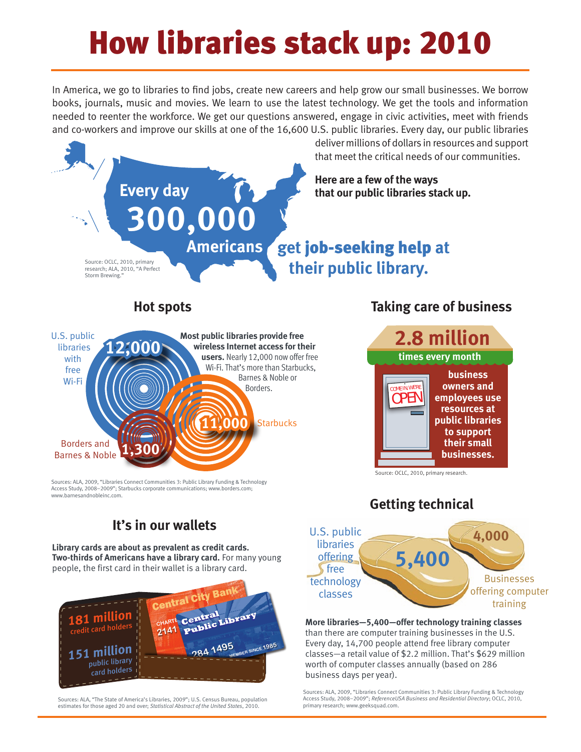# How libraries stack up: 2010

In America, we go to libraries to find jobs, create new careers and help grow our small businesses. We borrow books, journals, music and movies. We learn to use the latest technology. We get the tools and information needed to reenter the workforce. We get our questions answered, engage in civic activities, meet with friends and co-workers and improve our skills at one of the 16,600 U.S. public libraries. Every day, our public libraries



Sources: ALA, 2009, "Libraries Connect Communities 3: Public Library Funding & Technology Access Study, 2008–2009"; Starbucks corporate communications; www.borders.com; www.barnesandnobleinc.com

## **It's in our wallets**

**Library cards are about as prevalent as credit cards. Two-thirds of Americans have a library card.** For many young people, the first card in their wallet is a library card. **5,400**



Sources: ALA, "The State of America's Libraries, 2009"; U.S. Census Bureau, population estimates for those aged 20 and over; *Statistical Abstract of the United States*, 2010.

#### **Getting technical**



#### **More libraries—5,400—offer technology training classes**  than there are computer training businesses in the U.S. Every day, 14,700 people attend free library computer classes—a retail value of \$2.2 million. That's \$629 million worth of computer classes annually (based on 286 business days per year).

Sources: ALA, 2009, "Libraries Connect Communities 3: Public Library Funding & Technology Access Study, 2008–2009"; *ReferenceUSA Business and Residential Directory*; OCLC, 2010, primary research; www.geeksquad.com.